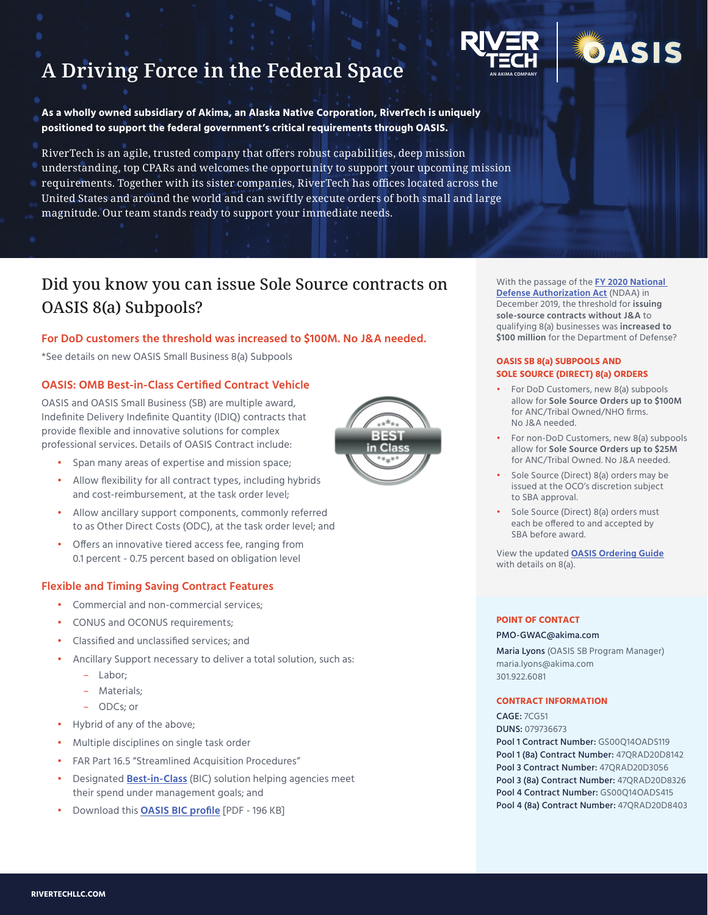



**As a wholly owned subsidiary of Akima, an Alaska Native Corporation, RiverTech is uniquely positioned to support the federal government's critical requirements through OASIS.** 

RiverTech is an agile, trusted company that offers robust capabilities, deep mission understanding, top CPARs and welcomes the opportunity to support your upcoming mission requirements. Together with its sister companies, RiverTech has offices located across the United States and around the world and can swiftly execute orders of both small and large magnitude. Our team stands ready to support your immediate needs.

# Did you know you can issue Sole Source contracts on OASIS 8(a) Subpools?

#### **For DoD customers the threshold was increased to \$100M. No J&A needed.**

\*See details on new OASIS Small Business 8(a) Subpools

### **OASIS: OMB Best-in-Class Certified Contract Vehicle**

OASIS and OASIS Small Business (SB) are multiple award, Indefinite Delivery Indefinite Quantity (IDIQ) contracts that provide flexible and innovative solutions for complex professional services. Details of OASIS Contract include:



- Span many areas of expertise and mission space;
- Allow flexibility for all contract types, including hybrids and cost-reimbursement, at the task order level;
- Allow ancillary support components, commonly referred to as Other Direct Costs (ODC), at the task order level; and
- Offers an innovative tiered access fee, ranging from 0.1 percent - 0.75 percent based on obligation level

#### **Flexible and Timing Saving Contract Features**

- Commercial and non-commercial services;
- CONUS and OCONUS requirements;
- Classified and unclassified services; and
- Ancillary Support necessary to deliver a total solution, such as:
	- Labor;
	- Materials;
	- ODCs; or
- Hybrid of any of the above;
- Multiple disciplines on single task order
- FAR Part 16.5 "Streamlined Acquisition Procedures"
- Designated **[Best-in-Class](https://www.gsa.gov/buying-selling/category-management/best-in-class)** (BIC) solution helping agencies meet their spend under management goals; and
- Download this **[OASIS BIC profile](https://www.gsa.gov/cdnstatic/PROFESSIONAL%20SERVICES_OASIS_OASIS_SB_7_26_2018%20(1)-1533149444.pdf)** [PDF 196 KB]

With the passage of the **[FY 2020 National](https://www.congress.gov/bill/116th-congress/house-bill/2500)  [Defense Authorization Act](https://www.congress.gov/bill/116th-congress/house-bill/2500)** (NDAA) in December 2019, the threshold for **issuing sole-source contracts without J&A** to qualifying 8(a) businesses was **increased to \$100 million** for the Department of Defense?

JASIS

#### **OASIS SB 8(a) SUBPOOLS AND SOLE SOURCE (DIRECT) 8(a) ORDERS**

- For DoD Customers, new 8(a) subpools allow for **Sole Source Orders up to \$100M**  for ANC/Tribal Owned/NHO firms. No J&A needed.
- For non-DoD Customers, new 8(a) subpools allow for **Sole Source Orders up to \$25M** for ANC/Tribal Owned. No J&A needed.
- Sole Source (Direct) 8(a) orders may be issued at the OCO's discretion subject to SBA approval.
- Sole Source (Direct) 8(a) orders must each be offered to and accepted by SBA before award.

View the updated **[OASIS Ordering Guide](https://www.gsa.gov/cdnstatic/CONSOLIDATED_OASIS_U_SB_8%28a%29Ordering_Guide_October_27__2020_1603893281.pdf)** with details on 8(a).

#### **POINT OF CONTACT**

#### [PMO-GWAC@akima.com](mailto:PMO%40akima.com?subject=)

Maria Lyons (OASIS SB Program Manager) maria.lyons[@akima.com](mailto:denise.mattison%40akima.com?subject=) 301.922.6081

#### **CONTRACT INFORMATION**

CAGE: 7CG51 DUNS: 079736673 Pool 1 Contract Number: GS00O14OADS119 Pool 1 (8a) Contract Number: 47QRAD20D8142 Pool 3 Contract Number: 47QRAD20D3056 Pool 3 (8a) Contract Number: 47QRAD20D8326 Pool 4 Contract Number: GS00Q14OADS415 Pool 4 (8a) Contract Number: 47QRAD20D8403